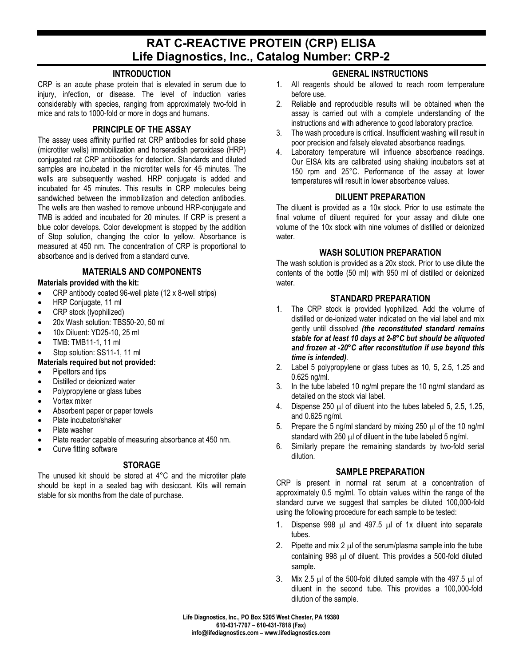# **RAT C-REACTIVE PROTEIN (CRP) ELISA Life Diagnostics, Inc., Catalog Number: CRP-2**

### **INTRODUCTION**

CRP is an acute phase protein that is elevated in serum due to injury, infection, or disease. The level of induction varies considerably with species, ranging from approximately two-fold in mice and rats to 1000-fold or more in dogs and humans.

### **PRINCIPLE OF THE ASSAY**

The assay uses affinity purified rat CRP antibodies for solid phase (microtiter wells) immobilization and horseradish peroxidase (HRP) conjugated rat CRP antibodies for detection. Standards and diluted samples are incubated in the microtiter wells for 45 minutes. The wells are subsequently washed. HRP conjugate is added and incubated for 45 minutes. This results in CRP molecules being sandwiched between the immobilization and detection antibodies. The wells are then washed to remove unbound HRP-conjugate and TMB is added and incubated for 20 minutes. If CRP is present a blue color develops. Color development is stopped by the addition of Stop solution, changing the color to yellow. Absorbance is measured at 450 nm. The concentration of CRP is proportional to absorbance and is derived from a standard curve.

# **MATERIALS AND COMPONENTS**

#### **Materials provided with the kit:**

- CRP antibody coated 96-well plate (12 x 8-well strips)
- HRP Conjugate, 11 ml
- CRP stock (lyophilized)
- 20x Wash solution: TBS50-20, 50 ml
- 10x Diluent: YD25-10, 25 ml
- TMB: TMB11-1, 11 ml
- Stop solution: SS11-1, 11 ml

#### **Materials required but not provided:**

- Pipettors and tips
- Distilled or deionized water
- Polypropylene or glass tubes
- Vortex mixer
- Absorbent paper or paper towels
- Plate incubator/shaker
- Plate washer
- Plate reader capable of measuring absorbance at 450 nm.
- Curve fitting software

# **STORAGE**

The unused kit should be stored at 4°C and the microtiter plate should be kept in a sealed bag with desiccant. Kits will remain stable for six months from the date of purchase.

# **GENERAL INSTRUCTIONS**

- 1. All reagents should be allowed to reach room temperature before use.
- 2. Reliable and reproducible results will be obtained when the assay is carried out with a complete understanding of the instructions and with adherence to good laboratory practice.
- 3. The wash procedure is critical. Insufficient washing will result in poor precision and falsely elevated absorbance readings.
- 4. Laboratory temperature will influence absorbance readings. Our EISA kits are calibrated using shaking incubators set at 150 rpm and 25°C. Performance of the assay at lower temperatures will result in lower absorbance values.

#### **DILUENT PREPARATION**

The diluent is provided as a 10x stock. Prior to use estimate the final volume of diluent required for your assay and dilute one volume of the 10x stock with nine volumes of distilled or deionized water.

# **WASH SOLUTION PREPARATION**

The wash solution is provided as a 20x stock. Prior to use dilute the contents of the bottle (50 ml) with 950 ml of distilled or deionized water.

# **STANDARD PREPARATION**

- 1. The CRP stock is provided lyophilized. Add the volume of distilled or de-ionized water indicated on the vial label and mix gently until dissolved *(the reconstituted standard remains stable for at least 10 days at 2-8°C but should be aliquoted and frozen at -20°C after reconstitution if use beyond this time is intended)*.
- 2. Label 5 polypropylene or glass tubes as 10, 5, 2.5, 1.25 and 0.625 ng/ml.
- 3. In the tube labeled 10 ng/ml prepare the 10 ng/ml standard as detailed on the stock vial label.
- 4. Dispense  $250 \mu l$  of diluent into the tubes labeled 5, 2.5, 1.25, and 0.625 ng/ml.
- 5. Prepare the 5 ng/ml standard by mixing 250  $\mu$ l of the 10 ng/ml standard with 250  $\mu$  of diluent in the tube labeled 5 ng/ml.
- 6. Similarly prepare the remaining standards by two-fold serial dilution.

#### **SAMPLE PREPARATION**

CRP is present in normal rat serum at a concentration of approximately 0.5 mg/ml. To obtain values within the range of the standard curve we suggest that samples be diluted 100,000-fold using the following procedure for each sample to be tested:

- 1. Dispense 998 µl and 497.5 µl of 1x diluent into separate tubes.
- 2. Pipette and mix 2  $\mu$  of the serum/plasma sample into the tube containing 998 µl of diluent. This provides a 500-fold diluted sample.
- 3. Mix 2.5  $\mu$ l of the 500-fold diluted sample with the 497.5  $\mu$ l of diluent in the second tube. This provides a 100,000-fold dilution of the sample.

**Life Diagnostics, Inc., PO Box 5205 West Chester, PA 19380 610-431-7707 – 610-431-7818 (Fax) info@lifediagnostics.com – www.lifediagnostics.com**